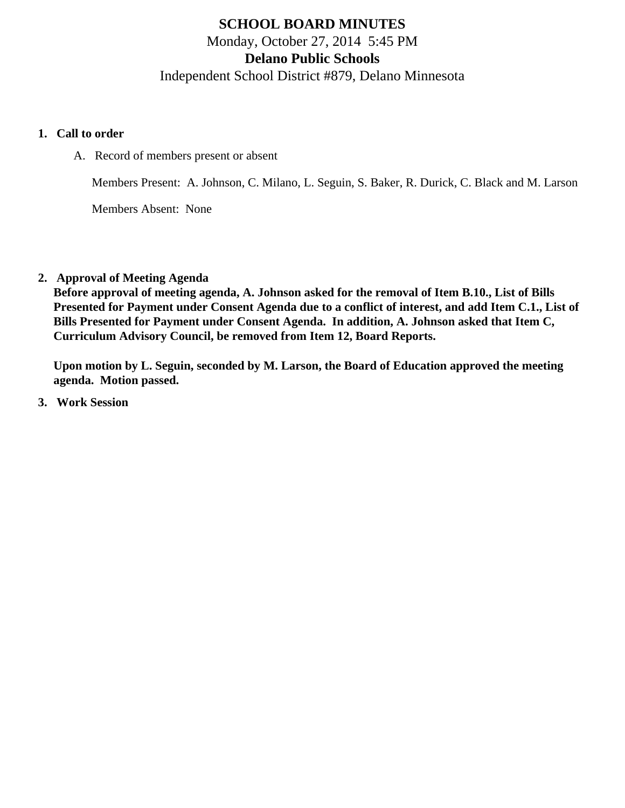# **SCHOOL BOARD MINUTES** Monday, October 27, 2014 5:45 PM **Delano Public Schools** Independent School District #879, Delano Minnesota

#### **1. Call to order**

A. Record of members present or absent

Members Present: A. Johnson, C. Milano, L. Seguin, S. Baker, R. Durick, C. Black and M. Larson

Members Absent: None

**2. Approval of Meeting Agenda**

**Before approval of meeting agenda, A. Johnson asked for the removal of Item B.10., List of Bills Presented for Payment under Consent Agenda due to a conflict of interest, and add Item C.1., List of Bills Presented for Payment under Consent Agenda. In addition, A. Johnson asked that Item C, Curriculum Advisory Council, be removed from Item 12, Board Reports.**

**Upon motion by L. Seguin, seconded by M. Larson, the Board of Education approved the meeting agenda. Motion passed.**

**3. Work Session**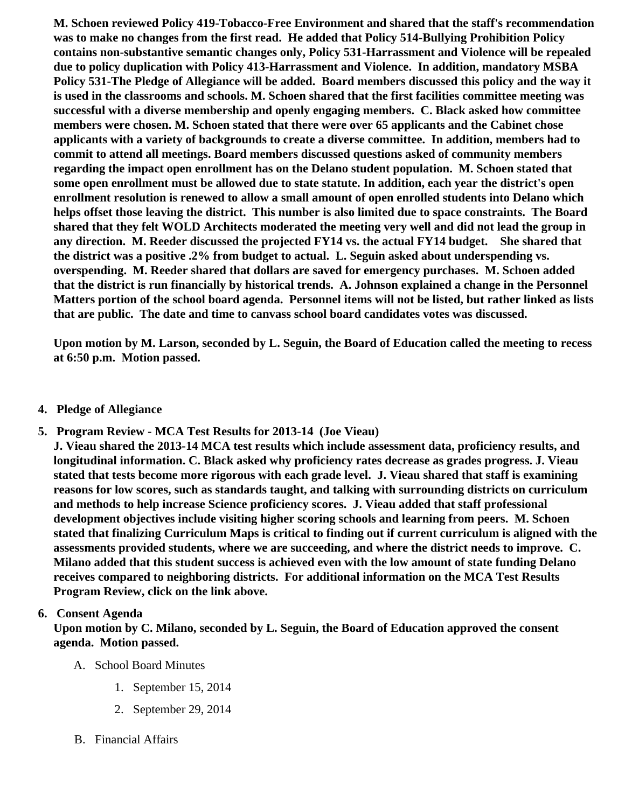M. Schoen reviewed Policy 419-Tobacco-Free Environment and shared that the staff's recommendation was to make no changes from the first read. He added that Policy 514-Bullying Prohibition Policy contains non-substantive semantic changes only, Policy 531-Harrassment and Violence will be repealed due to policy duplication with Policy 413-Harrassment and Violence. In addition, mandatory MSBA Policy 531-The Pledge of Allegiance will be added. Board members discussed this policy and the way it is used in the classrooms and schools. M. Schoen shared that the first facilities committee meeting was successful with a diverse membership and openly engaging members. C. Black asked how committee members were chosen. M. Schoen stated that there were over 65 applicants and the Cabinet chose applicants with a variety of backgrounds to create a diverse committee. In addition, members had to commit to attend all meetings. Board members discussed questions asked of community members regarding the impact open enrollment has on the Delano student population. M. Schoen stated that some open enrollment must be allowed due to state statute. In addition, each year the district's open enrollment resolution is renewed to allow a small amount of open enrolled students into Delano which helps offset those leaving the district. This number is also limited due to space constraints. The Board shared that they felt WOLD Architects moderated the meeting very well and did not lead the group in any direction. M. Reeder discussed the projected FY14 vs. the actual FY14 budget. She shared that the district was a positive .2% from budget to actual. L. Seguin asked about underspending vs. overspending. M. Reeder shared that dollars are saved for emergency purchases. M. Schoen added that the district is run financially by historical trends. A. Johnson explained a change in the Personnel Matters portion of the school board agenda. Personnel items will not be listed, but rather linked as lists that are public. The date and time to canvass school board candidates votes was discussed.

Upon motion by M. Larson, seconded by L. Seguin, the Board of Education called the meeting to recess at 6:50 p.m. Motion passed.

- 4. Pledge of Allegiance
- 5. Program Review - [MCA Test Results](/docs/district/2014_15/Board_Report_2014-REVISED_Joe_V._Assessment.pdf ) for 2013-14 (Joe Vieau)

J. Vieau shared the 2013-14 MCA test results which include assessment data, proficiency results, and longitudinal information. C. Black asked why proficiency rates decrease as grades progress. J. Vieau stated that tests become more rigorous with each grade level. J. Vieau shared that staff is examining reasons for low scores, such as standards taught, and talking with surrounding districts on curriculum and methods to help increase Science proficiency scores. J. Vieau added that staff professional development objectives include visiting higher scoring schools and learning from peers. M. Schoen stated that finalizing Curriculum Maps is critical to finding out if current curriculum is aligned with the assessments provided students, where we are succeeding, and where the district needs to improve. C. Milano added that this student success is achieved even with the low amount of state funding Delano receives compared to neighboring districts. For additional information on the MCA Test Results Program Review, click on the link above.

### 6. Consent Agenda

Upon motion by C. Milano, seconded by L. Seguin, the Board of Education approved the consent agenda. Motion passed.

- A. School Board Minutes
	- 1. [September 15, 201](/docs/district/Business_Office/School_Board_Minutes_9.15.14.pdf)4
	- 2. [September 29, 201](/docs/district/Business_Office/9.29.14_Special_Meeting_Minutes.pdf)4
- B. Financial Affairs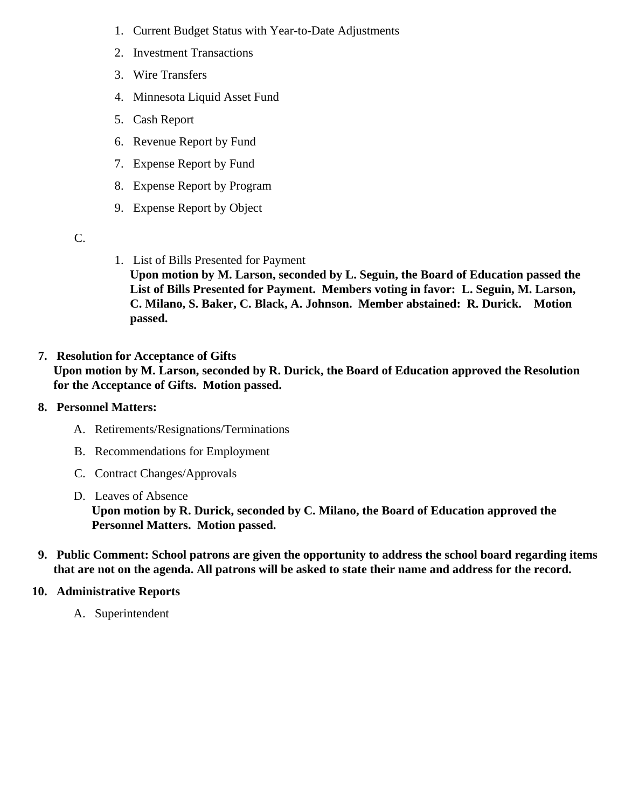- 1. [Current Budge](/docs/district/Business_Office/Budget_Report_Oct_14.pdf)Statuswith Year-to-Date Adjustments
- 2. [Investment Transactio](/docs/district/Business_Office/Investment_schedule_14-15.pdf )ns
- 3. [Wire Transfer](/docs/district/Business_Office/Wire_Transfer.pdf)s
- 4. [Minnesota Liquid Asset Fun](/docs/district/Business_Office/Liquid_Asset_Fund_FY15.pdf )d
- 5. [Cash Repo](/docs/district/Business_Office/Cash_Report.pdf)rt
- 6. [Revenue Report by Fu](/docs/district/Business_Office/SCHOOL_BOARD_REPORTS_-_REVENUE_BY_FUND_TOTAL__(Date__6_2015).pdf)nd
- 7. [Expense Report by Fu](/docs/district/Business_Office/SCHOOL_BOARD_REPORTS_-_EXP_BY_FUND_TOTAL__(Date__6_2015).pdf)nd
- 8. [Expense Report by Progra](/docs/district/Business_Office/SCHOOL_BOARD_REPORTS_-_EXPENDITURES_BY_PROGRAM__(Date__6_2015).pdf)m
- 9. [Expense Report by Obje](/docs/district/Business_Office/SCHOOL_BOARD_REPORTS_-_EXPENDITURES_BY_OBJECT__(Date__6_2015).pdf)ct
- C.
- 1. [List of Bills Presented for Payme](/docs/district/Business_Office/Detail_of_Monthly_Bills_Paid.pdf)nt Upon motion by M. Larson, seconded by L. Seguin, the Board of Education passed the List of Bills Presented for Payment. Members voting in favor: L. Seguin, M. Larson, C. Milano, S. Baker, C. Black, A. Johnson. Member abstained: R. Durick. Motion passed.
- 7. [Resolution for Acceptance of Gifts](/docs/district/Business_Office/Resolution_for_Acceptance_of_Gifts_10.27.14.pdf) Upon motion by M. Larson, seconded by R. Durick, the Board of Education approved the Resolution for the Acceptance of Gifts. Motion passed.
- 8. Personnel Matters:
	- A. [Retirements/Resignations/Terminatio](/docs/district/HR/10-27-14_Resignations,_Retirements,_Terminations.pdf)ns
	- B. [Recommendations for Employme](/docs/district/HR/10-27-14_Recommendations_for_Employment.pdf)nt
	- C. [Contract Changes/Approva](/docs/district/HR/10-27-14_Contract_Changes,_Approvals.pdf)ls
	- D. [Leaves of Absenc](/docs/district/HR/10-27-14_Leaves_of_Absence.pdf)e Upon motion by R. Durick, seconded by C. Milano, the Board of Education approved the Personnel Matters. Motion passed.
- 9. Public Comment: School patrons are given the opportunity to address the school board regarding items that are not on the agenda. All patrons will be asked to state their name and address for the record.
- 10. Administrative Reports
	- A. Superintendent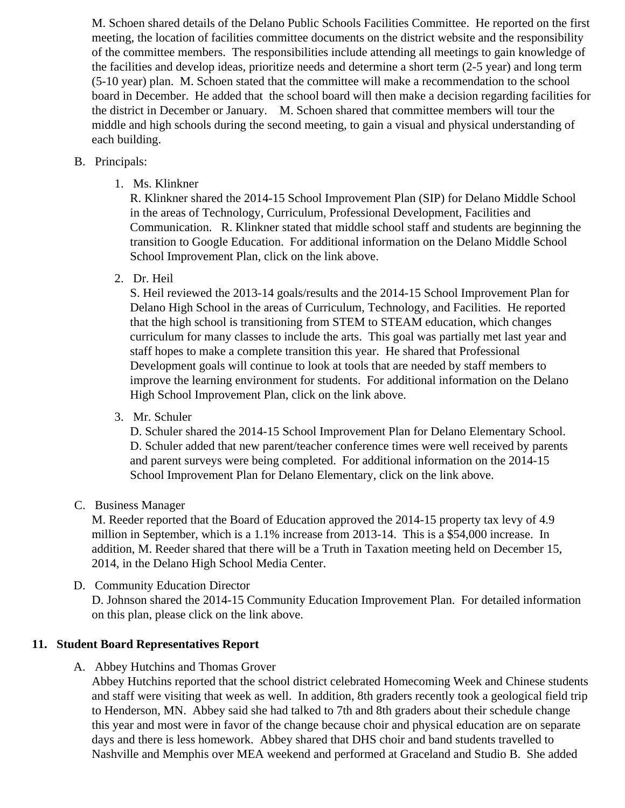M. Schoen shared details of the Delano Public Schools Facilities Committee. He reported on the fi meeting, the location of facilities committee documents on the district website and the responsibility of the committee members. The responsibilities include attending all meetings to gain knowledge of the facilities and develop ideas, prioritize needs and determine a short term (2-5 year) and long ter (5-10 year) plan. M. Schoen stated that the committee will make a recommendation to the school board in December. He added that the school board will then make a decision regarding facilities the district in December or January. M. Schoen shared that committee members will tour the middle and high schools during the second meeting, to gain a visual and physical understanding of each building.

- B. Principals:
	- 1. Ms. [Klinkner](/docs/district/2014_15/Oct._Board_Mtg._-_SIP_DMS.pdf)

R. Klinkner shared the 2014-15 School Improvement Plan (SIP) for Delano Middle School in the areas of Technology, Curriculum, Professional Development, Facilities and Communication. R. Klinkner stated that middle school staff and students are beginning the transition to Google Education. For additional information on the Delano Middle School School Improvement Plan, click on the link above.

2. Dr. [Heil](/docs/district/2014_15/2014-2015_HS_SIP_(Board_Presentation)_.pdf)

S. Heil reviewed the 2013-14 goals/results and the 2014-15 School Improvement Plan for Delano High School in the areas of Curriculum, Technology, and Facilities. He reported that the high school is transitioning from STEM to STEAM education, which changes curriculum for many classes to include the arts. This goal was partially met last year and staff hopes to make a complete transition this year. He shared that Professional Development goals will continue to look at tools that are needed by staff members to improve the learning environment for students. For additional information on the Delano High School Improvement Plan, click on the link above.

3. Mr. [Schuler](/docs/district/2014_15/DELANO_ELEM_IMPROVEMENT_PLAN_2014-2015.pdf)

D. Schuler shared the 2014-15 School Improvement Plan for Delano Elementary School. D. Schuler added that new parent/teacher conference times were well received by parents and parent surveys were being completed. For additional information on the 2014-15 School Improvement Plan for Delano Elementary, click on the link above.

C. [Business Manag](/docs/district/Business_Office/Proposed_Levy_Info.pdf)er

M. Reeder reported that the Board of Education approved the 2014-15 property tax levy of 4.9 million in September, which is a 1.1% increase from 2013-14. This is a \$54,000 increase. In addition, M. Reeder shared that there will be a Truth in Taxation meeting held on December 15, 2014, in the Delano High School Media Center.

D. Community EducationDirector

D. Johnson shared the 2014-15 Community Education Improvement Plan. For detailed information on this plan, please click on the link above.

- 11. Student Board Representatives Report
	- A. Abbey Hutchins and Thomas Grover

Abbey Hutchins reported that the school district celebrated Homecoming Week and Chinese stude and staff were visiting that week as well. In addition, 8th graders recently took a geological field trip to Henderson, MN. Abbey said she had talked to 7th and 8th graders about their schedule change this year and most were in favor of the change because choir and physical education are on separa days and there is less homework. Abbey shared that DHS choir and band students travelled to Nashville and Memphis over MEA weekend and performed at Graceland and Studio B. She added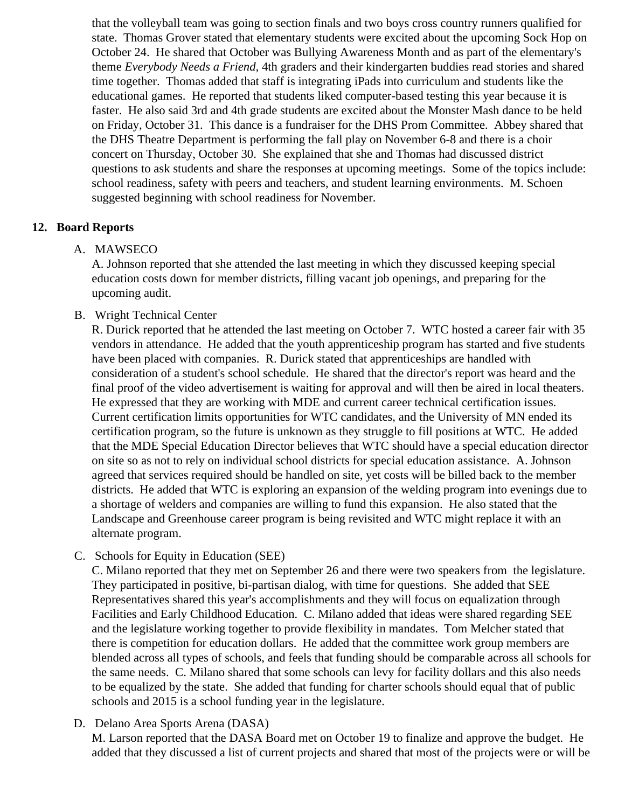that the volleyball team was going to section finals and two boys cross country runners qualified for state. Thomas Grover stated that elementary students were excited about the upcoming Sock Hop on October 24. He shared that October was Bullying Awareness Month and as part of the elementary's theme *Everybody Needs a Friend,* 4th graders and their kindergarten buddies read stories and shared time together. Thomas added that staff is integrating iPads into curriculum and students like the educational games. He reported that students liked computer-based testing this year because it is faster. He also said 3rd and 4th grade students are excited about the Monster Mash dance to be held on Friday, October 31. This dance is a fundraiser for the DHS Prom Committee. Abbey shared that the DHS Theatre Department is performing the fall play on November 6-8 and there is a choir concert on Thursday, October 30. She explained that she and Thomas had discussed district questions to ask students and share the responses at upcoming meetings. Some of the topics include: school readiness, safety with peers and teachers, and student learning environments. M. Schoen suggested beginning with school readiness for November.

#### **12. Board Reports**

#### A. MAWSECO

A. Johnson reported that she attended the last meeting in which they discussed keeping special education costs down for member districts, filling vacant job openings, and preparing for the upcoming audit.

### B. Wright Technical Center

R. Durick reported that he attended the last meeting on October 7. WTC hosted a career fair with 35 vendors in attendance. He added that the youth apprenticeship program has started and five students have been placed with companies. R. Durick stated that apprenticeships are handled with consideration of a student's school schedule. He shared that the director's report was heard and the final proof of the video advertisement is waiting for approval and will then be aired in local theaters. He expressed that they are working with MDE and current career technical certification issues. Current certification limits opportunities for WTC candidates, and the University of MN ended its certification program, so the future is unknown as they struggle to fill positions at WTC. He added that the MDE Special Education Director believes that WTC should have a special education director on site so as not to rely on individual school districts for special education assistance. A. Johnson agreed that services required should be handled on site, yet costs will be billed back to the member districts. He added that WTC is exploring an expansion of the welding program into evenings due to a shortage of welders and companies are willing to fund this expansion. He also stated that the Landscape and Greenhouse career program is being revisited and WTC might replace it with an alternate program.

C. Schools for Equity in Education (SEE)

C. Milano reported that they met on September 26 and there were two speakers from the legislature. They participated in positive, bi-partisan dialog, with time for questions. She added that SEE Representatives shared this year's accomplishments and they will focus on equalization through Facilities and Early Childhood Education. C. Milano added that ideas were shared regarding SEE and the legislature working together to provide flexibility in mandates. Tom Melcher stated that there is competition for education dollars. He added that the committee work group members are blended across all types of schools, and feels that funding should be comparable across all schools for the same needs. C. Milano shared that some schools can levy for facility dollars and this also needs to be equalized by the state. She added that funding for charter schools should equal that of public schools and 2015 is a school funding year in the legislature.

D. Delano Area Sports Arena (DASA)

M. Larson reported that the DASA Board met on October 19 to finalize and approve the budget. He added that they discussed a list of current projects and shared that most of the projects were or will be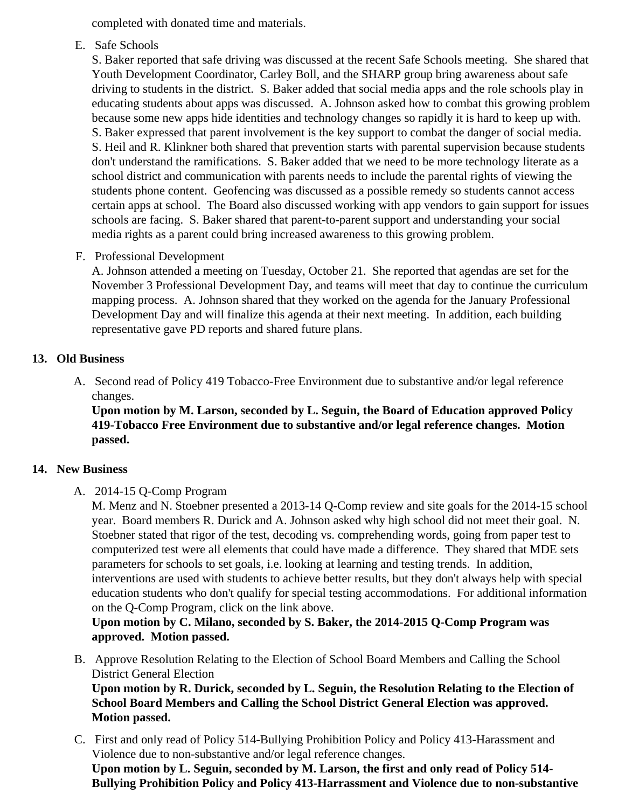completed with donated time and materials.

E. Safe Schools

S. Baker reported that safe driving was discussed at the recent Safe Schools meeting. She shared Youth Development Coordinator, Carley Boll, and the SHARP group bring awareness about safe driving to students in the district. S. Baker added that social media apps and the role schools play in educating students about apps was discussed. A. Johnson asked how to combat this growing prol because some new apps hide identities and technology changes so rapidly it is hard to keep up with S. Baker expressed that parent involvement is the key support to combat the danger of social med S. Heil and R. Klinkner both shared that prevention starts with parental supervision because studer don't understand the ramifications. S. Baker added that we need to be more technology literate as school district and communication with parents needs to include the parental rights of viewing the students phone content. Geofencing was discussed as a possible remedy so students cannot acce certain apps at school. The Board also discussed working with app vendors to gain support for iss schools are facing. S. Baker shared that parent-to-parent support and understanding your social media rights as a parent could bring increased awareness to this growing problem.

F. Professional Development

A. Johnson attended a meeting on Tuesday, October 21. She reported that agendas are set for the November 3 Professional Development Day, and teams will meet that day to continue the curriculu mapping process. A. Johnson shared that they worked on the agenda for the January Professiona Development Day and will finalize this agenda at their next meeting. In addition, each building representative gave PD reports and shared future plans.

### 13. Old Business

A. Second read of Policy 419 Tobacco-Free Environment due to substantive and/or legal reference changes.

Upon motion by M. Larson, seconded by L. Seguin, the Board of Education approved Policy 419-Tobacco Free Environment due to substantive and/or legal reference changes. Motion passed.

## 14. New Business

A. 2014-15 Q-Com[p Program](/docs/district/2014_15/Q_Comp_Presentation_14_15October.pdf)

M. Menz and N. Stoebner presented a 2013-14 Q-Comp review and site goals for the 2014-15 sch year. Board members R. Durick and A. Johnson asked why high school did not meet their goal. N. Stoebner stated that rigor of the test, decoding vs. comprehending words, going from paper test to computerized test were all elements that could have made a difference. They shared that MDE se parameters for schools to set goals, i.e. looking at learning and testing trends. In addition, interventions are used with students to achieve better results, but they don't always help with speci education students who don't qualify for special testing accommodations. For additional information on the Q-Comp Program, click on the link above.

Upon motion by C. Milano, seconded by S. Baker, the 2014-2015 Q-Comp Program was approved. Motion passed.

- B. [Approve Resolution Relating to the Election of School Board Members and Calling the](/docs/district/Business_Office/RESOLUTION_RELATING_TO_THE_ELECTION_OF_SCHOOL_BOARD_MEMBERS_10.27.14.pdf) School [District General Electio](/docs/district/Business_Office/RESOLUTION_RELATING_TO_THE_ELECTION_OF_SCHOOL_BOARD_MEMBERS_10.27.14.pdf)n Upon motion by R. Durick, seconded by L. Seguin, the Resolution Relating to the Election of School Board Members and Calling the School District General Election was approved. Motion passed.
- C. First and only read of Policy 514-Bullying Prohibition Policy and Policy 413-Harassment and Violence due to non-substantive and/or legal reference changes. Upon motion by L. Seguin, seconded by M. Larson, the first and only read of Policy 514- Bullying Prohibition Policy and Policy 413-Harrassment and Violence due to non-substantive